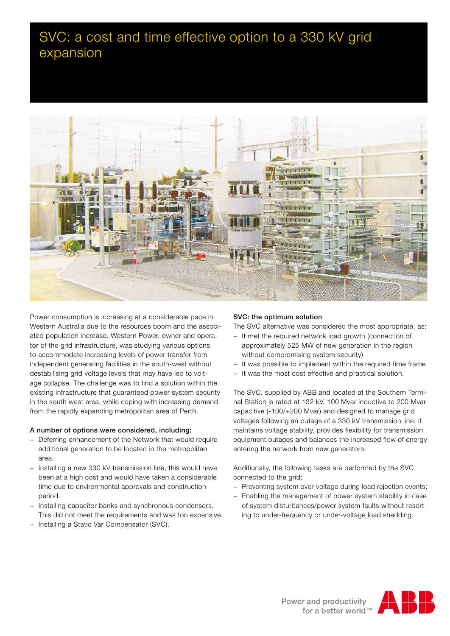# SVC: a cost and time effective option to a 330 kV grid expansion



Power consumption is increasing at a considerable pace in Western Australia due to the resources boom and the associated population increase. Western Power, owner and operator of the grid infrastructure, was studying various options to accommodate increasing levels of power transfer from independent generating facilities in the south-west without destabilising grid voltage levels that may have led to voltage collapse. The challenge was to find a solution within the existing infrastructure that guaranteed power system security in the south west area, while coping with increasing demand from the rapidly expanding metropolitan area of Perth.

# A number of options were considered, including:

- Deferring enhancement of the Network that would require additional generation to be located in the metropolitan area.
- − Installing a new 330 kV transmission line, this would have been at a high cost and would have taken a considerable time due to environmental approvals and construction period.
- − Installing capacitor banks and synchronous condensers. This did not meet the requirements and was too expensive.
- − Installing a Static Var Compensator (SVC).

# SVC: the optimum solution

The SVC alternative was considered the most appropriate, as:

- − It met the required network load growth (connection of approximately 525 MW of new generation in the region without compromising system security)
- − It was possible to implement within the required time frame
- − It was the most cost effective and practical solution.

The SVC, supplied by ABB and located at the Southern Terminal Station is rated at 132 kV, 100 Mvar inductive to 200 Mvar capacitive (-100/+200 Mvar) and designed to manage grid voltages following an outage of a 330 kV transmission line. It maintains voltage stability, provides flexibility for transmission equipment outages and balances the increased flow of energy entering the network from new generators.

Additionally, the following tasks are performed by the SVC connected to the grid:

- − Preventing system over-voltage during load rejection events;
- − Enabling the management of power system stability in case of system disturbances/power system faults without resorting to under-frequency or under-voltage load shedding.

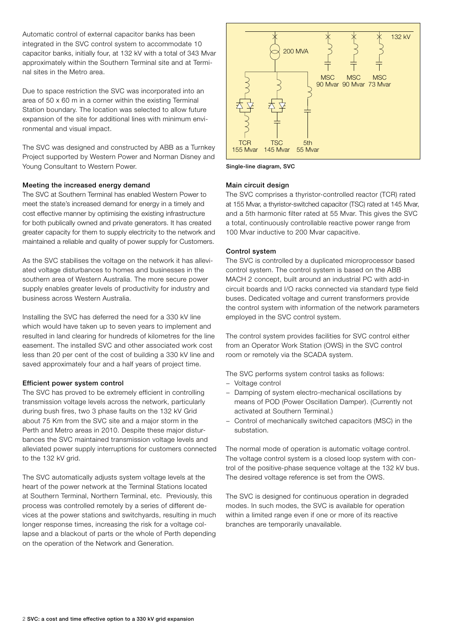Automatic control of external capacitor banks has been integrated in the SVC control system to accommodate 10 capacitor banks, initially four, at 132 kV with a total of 343 Mvar approximately within the Southern Terminal site and at Terminal sites in the Metro area.

Due to space restriction the SVC was incorporated into an area of 50 x 60 m in a corner within the existing Terminal Station boundary. The location was selected to allow future expansion of the site for additional lines with minimum environmental and visual impact.

The SVC was designed and constructed by ABB as a Turnkey Project supported by Western Power and Norman Disney and Young Consultant to Western Power.

# Meeting the increased energy demand

The SVC at Southern Terminal has enabled Western Power to meet the state's increased demand for energy in a timely and cost effective manner by optimising the existing infrastructure for both publically owned and private generators. It has created greater capacity for them to supply electricity to the network and maintained a reliable and quality of power supply for Customers.

As the SVC stabilises the voltage on the network it has alleviated voltage disturbances to homes and businesses in the southern area of Western Australia. The more secure power supply enables greater levels of productivity for industry and business across Western Australia.

Installing the SVC has deferred the need for a 330 kV line which would have taken up to seven years to implement and resulted in land clearing for hundreds of kilometres for the line easement. The installed SVC and other associated work cost less than 20 per cent of the cost of building a 330 kV line and saved approximately four and a half years of project time.

#### Efficient power system control

The SVC has proved to be extremely efficient in controlling transmission voltage levels across the network, particularly during bush fires, two 3 phase faults on the 132 kV Grid about 75 Km from the SVC site and a major storm in the Perth and Metro areas in 2010. Despite these major disturbances the SVC maintained transmission voltage levels and alleviated power supply interruptions for customers connected to the 132 kV grid.

The SVC automatically adjusts system voltage levels at the heart of the power network at the Terminal Stations located at Southern Terminal, Northern Terminal, etc. Previously, this process was controlled remotely by a series of different devices at the power stations and switchyards, resulting in much longer response times, increasing the risk for a voltage collapse and a blackout of parts or the whole of Perth depending on the operation of the Network and Generation.



Single-line diagram, SVC

#### Main circuit design

The SVC comprises a thyristor-controlled reactor (TCR) rated at 155 Mvar, a thyristor-switched capacitor (TSC) rated at 145 Mvar, and a 5th harmonic filter rated at 55 Mvar. This gives the SVC a total, continuously controllable reactive power range from 100 Mvar inductive to 200 Mvar capacitive.

#### Control system

The SVC is controlled by a duplicated microprocessor based control system. The control system is based on the ABB MACH 2 concept, built around an industrial PC with add-in circuit boards and I/O racks connected via standard type field buses. Dedicated voltage and current transformers provide the control system with information of the network parameters employed in the SVC control system.

The control system provides facilities for SVC control either from an Operator Work Station (OWS) in the SVC control room or remotely via the SCADA system.

The SVC performs system control tasks as follows:

- − Voltage control
- − Damping of system electro-mechanical oscillations by means of POD (Power Oscillation Damper). (Currently not activated at Southern Terminal.)
- − Control of mechanically switched capacitors (MSC) in the substation.

The normal mode of operation is automatic voltage control. The voltage control system is a closed loop system with control of the positive-phase sequence voltage at the 132 kV bus. The desired voltage reference is set from the OWS.

The SVC is designed for continuous operation in degraded modes. In such modes, the SVC is available for operation within a limited range even if one or more of its reactive branches are temporarily unavailable.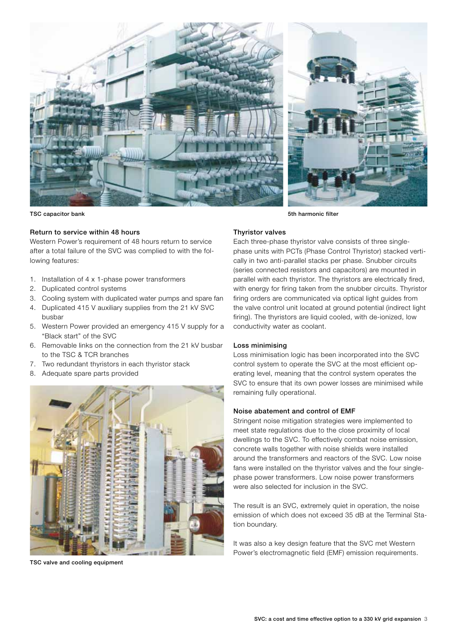

#### Return to service within 48 hours

Western Power's requirement of 48 hours return to service after a total failure of the SVC was complied to with the following features:

- 1. Installation of 4 x 1-phase power transformers
- 2. Duplicated control systems
- 3. Cooling system with duplicated water pumps and spare fan
- 4. Duplicated 415 V auxiliary supplies from the 21 kV SVC busbar
- 5. Western Power provided an emergency 415 V supply for a "Black start" of the SVC
- 6. Removable links on the connection from the 21 kV busbar to the TSC & TCR branches
- 7. Two redundant thyristors in each thyristor stack
- 8. Adequate spare parts provided



TSC valve and cooling equipment

TSC capacitor bank 5th harmonic filter with the state of the state of the state of the state of the state of the state of the state of the state of the state of the state of the state of the state of the state of the state

#### Thyristor valves

Each three-phase thyristor valve consists of three singlephase units with PCTs (Phase Control Thyristor) stacked vertically in two anti-parallel stacks per phase. Snubber circuits (series connected resistors and capacitors) are mounted in parallel with each thyristor. The thyristors are electrically fired, with energy for firing taken from the snubber circuits. Thyristor firing orders are communicated via optical light guides from the valve control unit located at ground potential (indirect light firing). The thyristors are liquid cooled, with de-ionized, low conductivity water as coolant.

### Loss minimising

Loss minimisation logic has been incorporated into the SVC control system to operate the SVC at the most efficient operating level, meaning that the control system operates the SVC to ensure that its own power losses are minimised while remaining fully operational.

#### Noise abatement and control of EMF

Stringent noise mitigation strategies were implemented to meet state regulations due to the close proximity of local dwellings to the SVC. To effectively combat noise emission, concrete walls together with noise shields were installed around the transformers and reactors of the SVC. Low noise fans were installed on the thyristor valves and the four singlephase power transformers. Low noise power transformers were also selected for inclusion in the SVC.

The result is an SVC, extremely quiet in operation, the noise emission of which does not exceed 35 dB at the Terminal Station boundary.

It was also a key design feature that the SVC met Western Power's electromagnetic field (EMF) emission requirements.